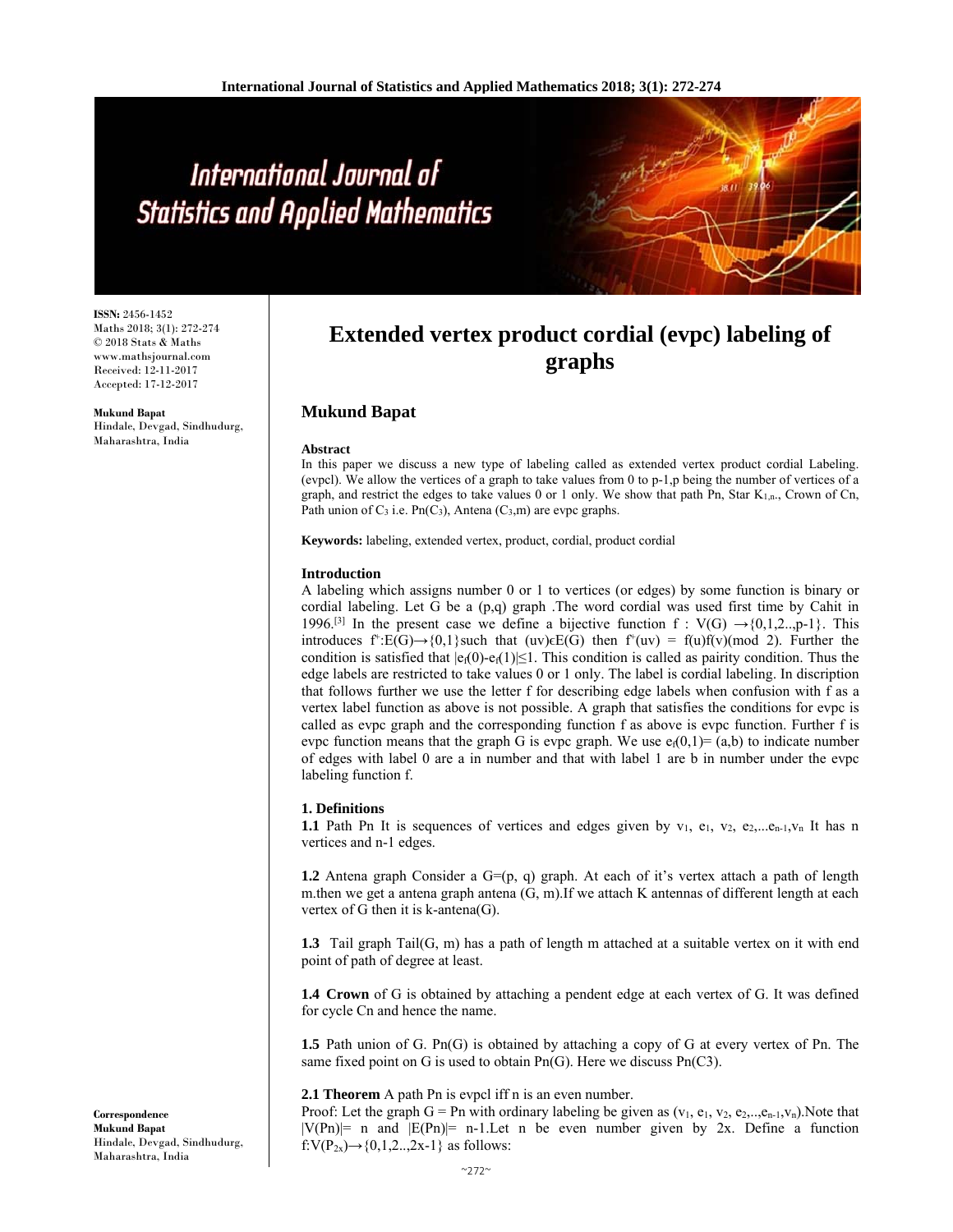# International Journal of **Statistics and Applied Mathematics**

**ISSN:** 2456-1452 Maths 2018; 3(1): 272-274 © 2018 Stats & Maths www.mathsjournal.com Received: 12-11-2017 Accepted: 17-12-2017

**Mukund Bapat**  Hindale, Devgad, Sindhudurg, Maharashtra, India

# **Extended vertex product cordial (evpc) labeling of graphs**

## **Mukund Bapat**

#### **Abstract**

In this paper we discuss a new type of labeling called as extended vertex product cordial Labeling. (evpcl). We allow the vertices of a graph to take values from 0 to p-1,p being the number of vertices of a graph, and restrict the edges to take values 0 or 1 only. We show that path Pn, Star K1,n., Crown of Cn, Path union of  $C_3$  i.e. Pn( $C_3$ ), Antena ( $C_3$ ,m) are evpc graphs.

**Keywords:** labeling, extended vertex, product, cordial, product cordial

#### **Introduction**

A labeling which assigns number 0 or 1 to vertices (or edges) by some function is binary or cordial labeling. Let G be a (p,q) graph .The word cordial was used first time by Cahit in 1996.<sup>[3]</sup> In the present case we define a bijective function f :  $V(G) \rightarrow \{0,1,2...$ , p-1 $\}$ . This introduces f<sup>+</sup>:E(G)→{0,1}such that (uv) $\epsilon$ E(G) then f<sup>+</sup>(uv) = f(u)f(v)(mod 2). Further the condition is satisfied that  $|e_1(0)-e_1(1)| \leq 1$ . This condition is called as pairity condition. Thus the edge labels are restricted to take values 0 or 1 only. The label is cordial labeling. In discription that follows further we use the letter f for describing edge labels when confusion with f as a vertex label function as above is not possible. A graph that satisfies the conditions for evpc is called as evpc graph and the corresponding function f as above is evpc function. Further f is evpc function means that the graph G is evpc graph. We use  $e_i(0,1)=(a,b)$  to indicate number of edges with label 0 are a in number and that with label 1 are b in number under the evpc labeling function f.

#### **1. Definitions**

1.1 Path Pn It is sequences of vertices and edges given by v<sub>1</sub>, e<sub>1</sub>, v<sub>2</sub>, e<sub>2</sub>,...e<sub>n-1</sub>, v<sub>n</sub> It has n vertices and n-1 edges.

**1.2** Antena graph Consider a  $G=(p, q)$  graph. At each of it's vertex attach a path of length m.then we get a antena graph antena (G, m).If we attach K antennas of different length at each vertex of G then it is  $k$ -antena(G).

**1.3** Tail graph Tail(G, m) has a path of length m attached at a suitable vertex on it with end point of path of degree at least.

**1.4 Crown** of G is obtained by attaching a pendent edge at each vertex of G. It was defined for cycle Cn and hence the name.

**1.5** Path union of G. Pn(G) is obtained by attaching a copy of G at every vertex of Pn. The same fixed point on G is used to obtain Pn(G). Here we discuss Pn(C3).

#### **2.1 Theorem** A path Pn is evpcl iff n is an even number.

Proof: Let the graph G = Pn with ordinary labeling be given as  $(v_1, e_1, v_2, e_2, \ldots, e_{n-1}, v_n)$ . Note that  $|V(Pn)|=n$  and  $|E(Pn)|=n-1$ . Let n be even number given by 2x. Define a function f:V(P<sub>2x</sub>) $\rightarrow$ {0,1,2..,2x-1} as follows:

**Correspondence Mukund Bapat**  Hindale, Devgad, Sindhudurg, Maharashtra, India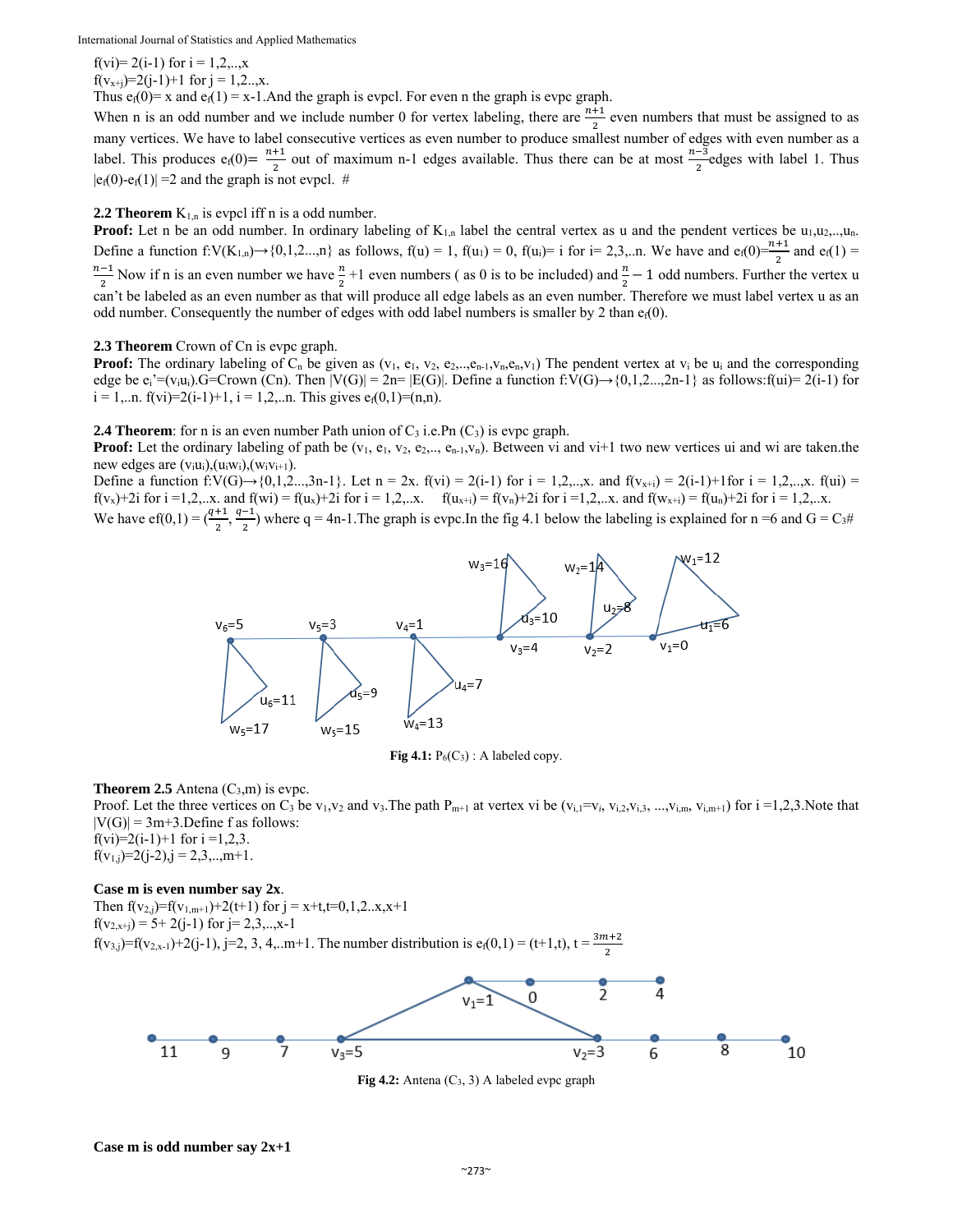International Journal of Statistics and Applied Mathematics

f(vi)= 2(i-1) for  $i = 1, 2, ..., x$ f(v<sub>x+j</sub>)=2(j-1)+1 for j = 1,2..,x.

Thus  $e_i(0) = x$  and  $e_i(1) = x-1$ . And the graph is evpcl. For even n the graph is evpc graph.

When n is an odd number and we include number 0 for vertex labeling, there are  $\frac{n+1}{2}$  even numbers that must be assigned to as many vertices. We have to label consecutive vertices as even number to produce smallest number of edges with even number as a label. This produces  $e_i(0) = \frac{n+1}{2}$  out of maximum n-1 edges available. Thus there can be at most  $\frac{n-3}{2}$ edges with label 1. Thus  $|e_f(0)-e_f(1)|=2$  and the graph is not evpcl. #

#### **2.2 Theorem**  $K_{1,n}$  is evpcl iff n is a odd number.

**Proof:** Let n be an odd number. In ordinary labeling of  $K_{1,n}$  label the central vertex as u and the pendent vertices be  $u_1, u_2, \ldots, u_n$ . Define a function f:V(K<sub>1,n</sub>) $\rightarrow$ {0,1,2...,n} as follows, f(u) = 1, f(u<sub>1</sub>) = 0, f(u<sub>i</sub>)= i for i= 2,3,..n. We have and e<sub>f</sub>(0)= $\frac{n+1}{2}$  and e<sub>f</sub>(1) =  $\frac{n-1}{2}$  Now if n is an even number we have  $\frac{n}{2}+1$  even numbers (as 0 is to be included) and  $\frac{n}{2}-1$  odd numbers. Further the vertex u can't be labeled as an even number as that will produce all edge labels as an even number. Therefore we must label vertex u as an odd number. Consequently the number of edges with odd label numbers is smaller by 2 than  $e_1(0)$ .

### **2.3 Theorem** Crown of Cn is evpc graph.

**Proof:** The ordinary labeling of  $C_n$  be given as  $(v_1, e_1, v_2, e_2, \ldots, e_{n-1}, v_n, e_n, v_1)$  The pendent vertex at  $v_i$  be  $u_i$  and the corresponding edge be  $e_i'=(v_iu_i)$ .G=Crown (Cn). Then  $|V(G)| = 2n= |E(G)|$ . Define a function f:V(G)→{0,1,2...,2n-1} as follows:f(ui)= 2(i-1) for  $i = 1,...n$ .  $f(vi)=2(i-1)+1$ ,  $i = 1,2,...n$ . This gives  $e_i(0,1)=(n,n)$ .

**2.4 Theorem**: for n is an even number Path union of  $C_3$  i.e. Pn  $(C_3)$  is evpc graph.

**Proof:** Let the ordinary labeling of path be  $(v_1, e_1, v_2, e_2, \ldots, e_{n-1}, v_n)$ . Between vi and vi+1 two new vertices ui and wi are taken.the new edges are  $(v_iu_i)$ ,  $(u_iw_i)$ ,  $(w_iv_{i+1})$ .

Define a function f:V(G)→{0,1,2...,3n-1}. Let n = 2x. f(vi) = 2(i-1) for i = 1,2,..,x. and f(v<sub>x+i</sub>) = 2(i-1)+1for i = 1,2,..,x. f(ui) = f(v<sub>x</sub>)+2i for i =1,2,..x. and f(wi) = f(u<sub>x</sub>)+2i for i = 1,2,..x. f(u<sub>x+i</sub>) = f(v<sub>n</sub>)+2i for i =1,2,..x. and f(w<sub>x+i</sub>) = f(u<sub>n</sub>)+2i for i = 1,2,..x.

We have  $ef(0,1) = \left(\frac{q+1}{2}, \frac{q-1}{2}\right)$  where q = 4n-1. The graph is evpc. In the fig 4.1 below the labeling is explained for n =6 and G = C<sub>3</sub>#



**Fig 4.1:**  $P_6(C_3)$ : A labeled copy.

#### **Theorem 2.5** Antena  $(C_3, m)$  is evpc.

Proof. Let the three vertices on C<sub>3</sub> be v<sub>1</sub>,v<sub>2</sub> and v<sub>3</sub>. The path P<sub>m+1</sub> at vertex vi be (v<sub>i,1</sub>=v<sub>*i*</sub>, v<sub>i,2</sub>,v<sub>i,3</sub>, ...,v<sub>i,m</sub>, v<sub>i,m+1</sub>) for i =1,2,3. Note that  $|V(G)| = 3m+3$ . Define f as follows: f(vi)=2(i-1)+1 for i =1,2,3.  $f(v_{1,j})=2(j-2), j = 2,3,..,m+1.$ 

#### **Case m is even number say 2x**.

Then  $f(v_{2,j})=f(v_{1,m+1})+2(t+1)$  for  $j = x+t, t=0,1,2...x, x+1$  $f(v_{2,x+j}) = 5 + 2(j-1)$  for  $j = 2,3,...,x-1$  $f(v_{3,j})=f(v_{2,x-1})+2(j-1), j=2, 3, 4,...m+1$ . The number distribution is  $e_i(0,1) = (t+1,t), t = \frac{3m+2}{2}$ 



**Fig 4.2:** Antena (C3, 3) A labeled evpc graph